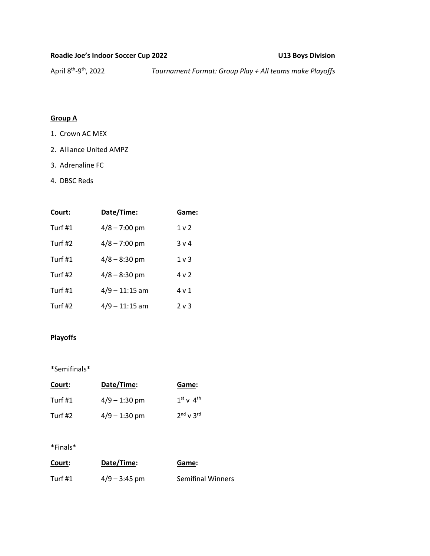# **Roadie Joe's Indoor Soccer Cup 2022 U13 Boys Division**

April 8<sup>th</sup>-9

th, 2022 *Tournament Format: Group Play + All teams make Playoffs* 

## **Group A**

- 1. Crown AC MEX
- 2. Alliance United AMPZ
- 3. Adrenaline FC
- 4. DBSC Reds

| Court:    | Date/Time:      | Game:          |
|-----------|-----------------|----------------|
| Turf $#1$ | $4/8 - 7:00$ pm | 1 <sub>v</sub> |
| Turf #2   | $4/8 - 7:00$ pm | 3 <sub>v</sub> |
| Turf #1   | $4/8 - 8:30$ pm | 1 <sub>v</sub> |
| Turf #2   | $4/8 - 8:30$ pm | 4 <sub>v</sub> |
| Turf $#1$ | 4/9 – 11:15 am  | 4 v 1          |
| Turf #2   | 4/9 – 11:15 am  | 2 v 3          |

## **Playoffs**

\*Semifinals\*

| Court:    | Date/Time:      | Game:               |
|-----------|-----------------|---------------------|
| Turf $#1$ | $4/9 - 1:30$ pm | $1^{st}$ v $4^{th}$ |
| Turf #2   | $4/9 - 1:30$ pm | $2nd$ v $3rd$       |

### \*Finals\*

| Court:  | Date/Time:      | Game:                    |
|---------|-----------------|--------------------------|
| Turf #1 | $4/9 - 3:45$ pm | <b>Semifinal Winners</b> |